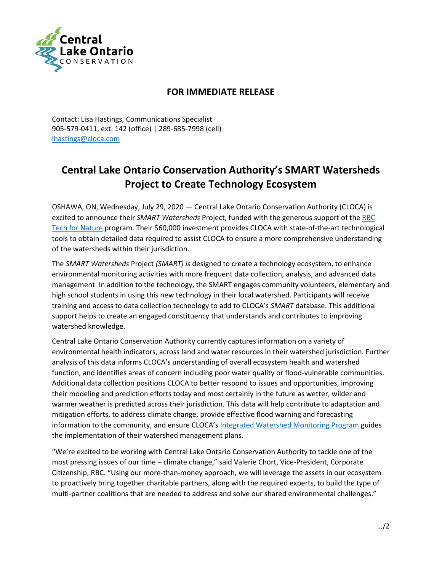

## **FOR IMMEDIATE RELEASE**

Contact: Lisa Hastings, Communications Specialist 905-579-0411, ext. 142 (office) | 289-685-7998 (cell) [lhastings@cloca.com](mailto:lhastings@cloca.com)

## **Central Lake Ontario Conservation Authority's SMART Watersheds Project to Create Technology Ecosystem**

OSHAWA, ON, Wednesday, July 29, 2020 — Central Lake Ontario Conservation Authority (CLOCA) is excited to announce their *SMART Watersheds* Project, funded with the generous support of th[e RBC](https://www.rbc.com/community-social-impact/environment/environmental-donations.html)  [Tech for Nature](https://www.rbc.com/community-social-impact/environment/environmental-donations.html) program. Their \$60,000 investment provides CLOCA with state-of-the-art technological tools to obtain detailed data required to assist CLOCA to ensure a more comprehensive understanding of the watersheds within their jurisdiction.

The *SMART Watersheds* Project *(SMART) is* designed to create a technology ecosystem, to enhance environmental monitoring activities with more frequent data collection, analysis, and advanced data management. In addition to the technology, the SMART engages community volunteers, elementary and high school students in using this new technology in their local watershed. Participants will receive training and access to data collection technology to add to CLOCA's *SMART* database. This additional support helps to create an engaged constituency that understands and contributes to improving watershed knowledge.

Central Lake Ontario Conservation Authority currently captures information on a variety of environmental health indicators, across land and water resources in their watershed jurisdiction. Further analysis of this data informs CLOCA's understanding of overall ecosystem health and watershed function, and identifies areas of concern including poor water quality or flood-vulnerable communities. Additional data collection positions CLOCA to better respond to issues and opportunities, improving their modeling and prediction efforts today and most certainly in the future as wetter, wilder and warmer weather is predicted across their jurisdiction. This data will help contribute to adaptation and mitigation efforts, to address climate change, provide effective flood warning and forecasting information to the community, and ensure CLOCA's [Integrated Watershed Monitoring Program](https://camaps.maps.arcgis.com/apps/MapSeries/index.html?appid=3f43d2da2a604ae895220529a76fb931) guides the implementation of their watershed management plans.

"We're excited to be working with Central Lake Ontario Conservation Authority to tackle one of the most pressing issues of our time – climate change," said Valerie Chort, Vice-President, Corporate Citizenship, RBC. "Using our more-than-money approach, we will leverage the assets in our ecosystem to proactively bring together charitable partners, along with the required experts, to build the type of multi-partner coalitions that are needed to address and solve our shared environmental challenges."